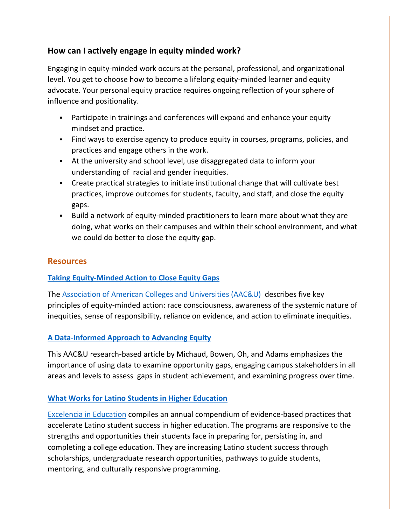# **How can I actively engage in equity minded work?**

Engaging in equity-minded work occurs at the personal, professional, and organizational level. You get to choose how to become a lifelong equity-minded learner and equity advocate. Your personal equity practice requires ongoing reflection of your sphere of influence and positionality.

- Participate in trainings and conferences will expand and enhance your equity mindset and practice.
- Find ways to exercise agency to produce equity in courses, programs, policies, and practices and engage others in the work.
- At the university and school level, use disaggregated data to inform your understanding of racial and gender inequities.
- Create practical strategies to initiate institutional change that will cultivate best practices, improve outcomes for students, faculty, and staff, and close the equity gaps.
- Build a network of equity-minded practitioners to learn more about what they are doing, what works on their campuses and within their school environment, and what we could do better to close the equity gap.

## **Resources**

## **[Taking Equity-Minded Action to Close Equity Gaps](https://www.aacu.org/peerreview/2017/Spring/Malcom-Piqueux)**

The [Association of American Colleges and Universities \(AAC&U\)](https://www.aacu.org/diversity-equity-and-student-success) describes five key principles of equity-minded action: race consciousness, awareness of the systemic nature of inequities, sense of responsibility, reliance on evidence, and action to eliminate inequities.

### **[A Data-Informed Approach to Advancing Equity](https://www.aacu.org/peerreview/2017/Spring/Michaud)**

This AAC&U research-based article by Michaud, Bowen, Oh, and Adams emphasizes the importance of using data to examine opportunity gaps, engaging campus stakeholders in all areas and levels to assess gaps in student achievement, and examining progress over time.

### **[What Works for Latino Students in Higher Education](https://www.edexcelencia.org/research/publications/2019-what-works-latino-students-higher-education)**

[Excelencia in Education](https://www.edexcelencia.org/) compiles an annual compendium of evidence-based practices that accelerate Latino student success in higher education. The programs are responsive to the strengths and opportunities their students face in preparing for, persisting in, and completing a college education. They are increasing Latino student success through scholarships, undergraduate research opportunities, pathways to guide students, mentoring, and culturally responsive programming.